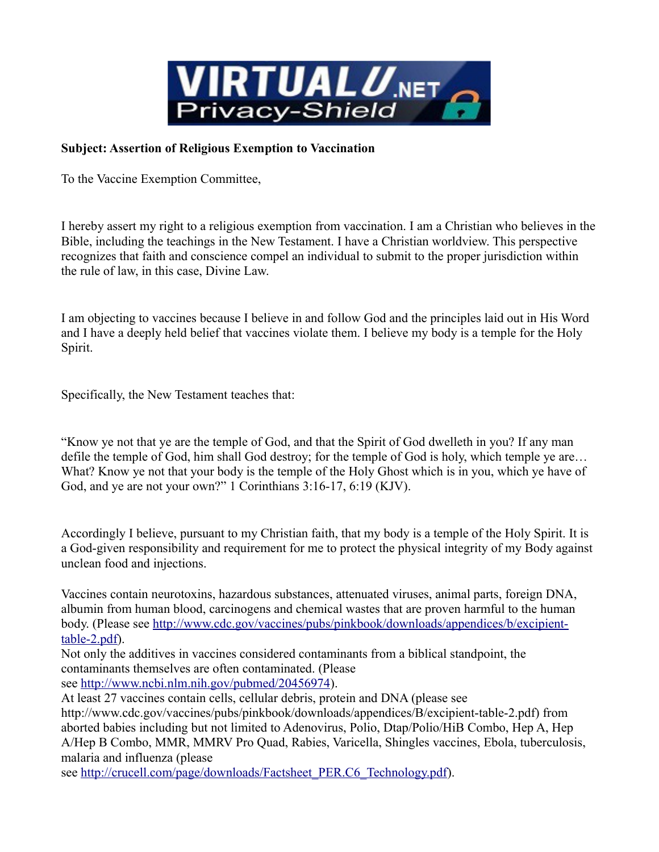

## **Subject: Assertion of Religious Exemption to Vaccination**

To the Vaccine Exemption Committee,

I hereby assert my right to a religious exemption from vaccination. I am a Christian who believes in the Bible, including the teachings in the New Testament. I have a Christian worldview. This perspective recognizes that faith and conscience compel an individual to submit to the proper jurisdiction within the rule of law, in this case, Divine Law.

I am objecting to vaccines because I believe in and follow God and the principles laid out in His Word and I have a deeply held belief that vaccines violate them. I believe my body is a temple for the Holy Spirit.

Specifically, the New Testament teaches that:

"Know ye not that ye are the temple of God, and that the Spirit of God dwelleth in you? If any man defile the temple of God, him shall God destroy; for the temple of God is holy, which temple ye are… What? Know ye not that your body is the temple of the Holy Ghost which is in you, which ye have of God, and ye are not your own?" 1 Corinthians 3:16-17, 6:19 (KJV).

Accordingly I believe, pursuant to my Christian faith, that my body is a temple of the Holy Spirit. It is a God-given responsibility and requirement for me to protect the physical integrity of my Body against unclean food and injections.

Vaccines contain neurotoxins, hazardous substances, attenuated viruses, animal parts, foreign DNA, albumin from human blood, carcinogens and chemical wastes that are proven harmful to the human body. (Please see [http://www.cdc.gov/vaccines/pubs/pinkbook/downloads/appendices/b/excipient](http://www.cdc.gov/vaccines/pubs/pinkbook/downloads/appendices/b/excipient-table-2.pdf)[table-2.pdf\)](http://www.cdc.gov/vaccines/pubs/pinkbook/downloads/appendices/b/excipient-table-2.pdf).

Not only the additives in vaccines considered contaminants from a biblical standpoint, the contaminants themselves are often contaminated. (Please see [http://www.ncbi.nlm.nih.gov/pubmed/20456974\)](http://www.ncbi.nlm.nih.gov/pubmed/20456974).

At least 27 vaccines contain cells, cellular debris, protein and DNA (please see http://www.cdc.gov/vaccines/pubs/pinkbook/downloads/appendices/B/excipient-table-2.pdf) from aborted babies including but not limited to Adenovirus, Polio, Dtap/Polio/HiB Combo, Hep A, Hep A/Hep B Combo, MMR, MMRV Pro Quad, Rabies, Varicella, Shingles vaccines, Ebola, tuberculosis, malaria and influenza (please

see [http://crucell.com/page/downloads/Factsheet\\_PER.C6\\_Technology.pdf\)](http://crucell.com/page/downloads/Factsheet_PER.C6_Technology.pdf).